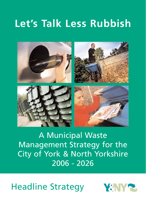# **Let's Talk Less Rubbish**



# Headline Strategy



A Municipal Waste Management Strategy for the City of York & North Yorkshire

# 2006 - 2026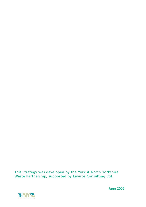## This Strategy was developed by the York & North Yorkshire Waste Partnership, supported by Enviros Consulting Ltd.



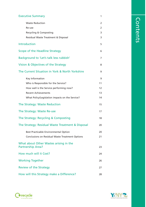| <b>Executive Summary</b>                                           | 1  |
|--------------------------------------------------------------------|----|
| <b>Waste Reduction</b>                                             | 2  |
| Re-use                                                             | 2  |
| <b>Recycling &amp; Composting</b>                                  | 3  |
| <b>Residual Waste Treatment &amp; Disposal</b>                     | 3  |
| <b>Introduction</b>                                                | 5  |
| Scope of the Headline Strategy                                     | 6  |
| Background to 'Let's talk less rubbish'                            | 7  |
| Vision & Objectives of the Strategy                                | 8  |
| The Current Situation in York & North Yorkshire                    | 9  |
| Key Information                                                    | 9  |
| Who is Responsible for the Service?                                | 11 |
| How well is the Service performing now?                            | 12 |
| <b>Recent Achievements</b>                                         | 13 |
| What Policy/Legislation impacts on the Service?                    | 14 |
| The Strategy: Waste Reduction                                      | 15 |
| The Strategy: Waste Re-use                                         | 17 |
| The Strategy: Recycling & Composting                               | 18 |
| The Strategy: Residual Waste Treatment & Disposal                  | 20 |
| <b>Best Practicable Environmental Option</b>                       | 20 |
| <b>Conclusions on Residual Waste Treatment Options</b>             | 21 |
| What about Other Wastes arising in the<br><b>Partnership Area?</b> | 23 |
|                                                                    |    |
| How much will it Cost?                                             | 24 |

Working Together 26

## Review of the Strategy 27

## How will this Strategy make a Difference? 28



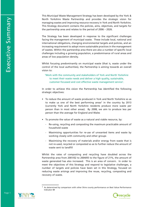This Municipal Waste Management Strategy has been developed by the York & North Yorkshire Waste Partnership and provides the strategic vision for managing wastes and improving resource recovery in York and North Yorkshire. This Strategy document contains the policies, aims, objectives, and targets for the partnership area and relates to the period of 2006 – 2026.

The Strategy has been developed in response to the significant challenges facing the management of municipal waste. These include local, national and international obligations, changing environmental targets and policies, and an increasing requirement to adopt more sustainable practices in the management of wastes. Within the partnership area there are also a number of specific local challenges including a growing population, a predominance of rural areas and areas of low population density.

Whilst focusing predominantly on municipal waste (that is, waste under the control of the local authorities), the Partnership is aiming towards an overall vision to:

'Work with the community and stakeholders of York and North Yorkshire to meet their waste needs and deliver a high quality, sustainable, customer-focussed and cost effective waste management service'.

In order to achieve this vision the Partnership has identified the following strategic objectives:

- To reduce the amount of waste produced in York and North Yorkshire so as to make us one of the best performing areas<sup>1</sup> in the country by 2013 (currently York and North Yorkshire residents produce more waste per person than in most other areas). By 2008, we aim to produce less per person than the average for England and Wales
- To promote the value of waste as a natural and viable resource, by:
	- Re-using, recycling and composting the maximum practicable amount of household waste
	- Maximising opportunities for re-use of unwanted items and waste by working closely with community and other groups
	- Maximising the recovery of materials and/or energy from waste that is not re-used, recycled or composted so as to further reduce the amount of waste sent to landfill

Whilst the rates of composting and recycling have doubled across the

Partnership area from 2001/02 to 2004/05 to the figure of 21%, the amount of waste generated has also increased. This is an area of concern. In order to meet the objectives of this Strategy and respond to legislative challenges, a number of targets and policies have been set in this Strategy, focused on reducing waste arisings and improving the reuse, recycling, composting and recovery of waste.







<sup>1</sup> As determined by comparison with other Shire county performance on Best Value Performance Indicator 84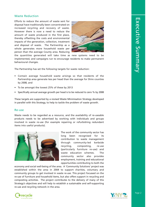#### Waste Reduction

Efforts to reduce the amount of waste sent for disposal have traditionally been concentrated on increased recycling and recovery of waste. However there is now a need to reduce the amount of waste produced in the first place, thereby offsetting the costs and environmental impacts of the generation, collection, treatment and disposal of waste. The Partnership as a whole generates more household waste per person than the average County area. Reducing



the quantities generated will take time as new systems need to be implemented, and campaigns run to encourage residents to make permanent behavioural changes.

The Partnership has set the following targets for waste reduction:

- Contain average household waste arisings so that residents of the Partnership area generate less per head than the average for Shire counties by 2008, and
- To be amongst the lowest 25% of these by 2013
- Specifically annual average growth per head is to be reduced to zero % by 2008

These targets are supported by a revised Waste Minimisation Strategy developed in parallel with this Strategy, to help to tackle the problem of waste growth.

#### Re-use

Waste needs to be regarded as a resource, and the availability of re-useable products needs to be advertised by working with individuals and groups involved in waste re-use (for example repairing or refurbishing redundant items into useful products).



The work of the community sector has long been recognised for its contribution to waste management through community-led kerbside recycling, composting, re-use (particularly furniture re-use) and waste education schemes. The

community sector also provides employment, training and educational opportunities contributing to both the

economy and social well-being of the area. A 'Community Solutions' project was established within the area in 2004 to support charities, voluntary and community groups to get involved in waste re-use. This project focussed on the re-use of furniture and household items, but also offers support in recycling and composting activities. The project contributes to the delivery of many of this Strategy's objectives and will help to establish a sustainable and self-supporting re-use and recycling network in the area.





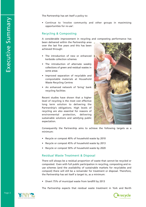The Partnership has set itself a policy to:

• Continue to 'involve community and other groups in maximising opportunities for re-use'.

#### Recycling & Composting

A considerable improvement in recycling and composting performance has

been delivered within the Partnership area over the last five years and this has been achieved through:

- The introduction of new or enhanced kerbside collection schemes
- The introduction of alternate weekly collections of green and residual wastes in some areas
- Improved separation of recyclable and compostable materials at Household Waste Recycling Centres
- An enhanced network of 'bring' bank recycling facilities

Recent studies have shown that a higher level of recycling is the most cost effective long term solution to delivering the Partnership's obligations. High levels of recycling are also essential for reasons of environmental protection, delivering sustainable solutions and satisfying public expectation.



Consequently the Partnership aims to achieve the following targets as a minimum:

- Recycle or compost 40% of household waste by 2010
- Recycle or compost 45% of household waste by 2013
- Recycle or compost 50% of household waste by 2020

#### Residual Waste Treatment & Disposal

There will always be a residual proportion of waste that cannot be recycled or composted. Even with full public participation in recycling, composting and reuse schemes (and the availability of sustainable markets for recyclables and compost) there will still be a remainder for treatment or disposal. Therefore, the Partnership has set itself a target to, as a minimum:

• Divert 75% of municipal waste from landfill by 2013

The Partnership expects that residual waste treatment in York and North



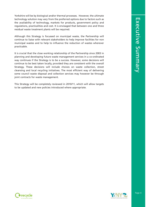Yorkshire will be by biological and/or thermal processes. However, the ultimate technology solution may vary from the preferred options due to factors such as the availability of technology, markets for products, government policy and regulations, practicalities and cost. It is envisaged that between one and three residual waste treatment plants will be required.

Although this Strategy is focussed on municipal waste, the Partnership will continue to liaise with relevant stakeholders to help improve facilities for non municipal wastes and to help to influence the reduction of wastes wherever practicable.

It is crucial that the close working relationship of the Partnership since 2003 in planning and developing future waste management services in a co-ordinated way continues if the Strategy is to be a success. However, some decisions will continue to be best taken locally, provided they are consistent with the overall Strategy. These decisions will include choices on waste collection, street cleansing and local recycling initiatives. The most efficient way of delivering some council waste disposal and collection services may however be through joint contracts for waste management.

This Strategy will be completely reviewed in 2010/11, which will allow targets to be updated and new policies introduced where appropriate.





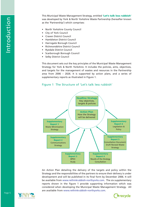This Municipal Waste Management Strategy, entitled 'Let's talk less rubbish' was developed by York & North Yorkshire Waste Partnership (hereafter known as the 'Partnership') which comprises:

- North Yorkshire County Council
- City of York Council
- Craven District Council
- Hambleton District Council
- Harrogate Borough Council
- Richmondshire District Council
- Ryedale District Council
- Scarborough Borough Council
- **Selby District Council**

This document sets out the key principles of the Municipal Waste Management Strategy for York & North Yorkshire. It includes the policies, aims, objectives, and targets for the management of wastes and resources in the Partnership area from 2006 – 2026. It is supported by action plans, and a series of supplementary reports as illustrated in Figure 1.

### Figure 1 The Structure of 'Let's talk less rubbish'

An Action Plan detailing the delivery of the targets and policy within the Strategy and the responsibilities of the partners to ensure their delivery is under development and will be published in its final form by December 2006. It will be available from www.rethinkrubbish-northyorks.com. The six supplementary reports shown in the figure 1 provide supporting information which was considered when developing the Municipal Waste Management Strategy. All are available from www.rethinkrubbish-northyorks.com.







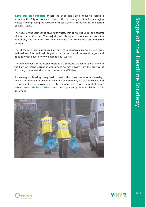'Let's talk less rubbish' covers the geographic area of North Yorkshire including the City of York and deals with the strategic vision for managing wastes, and improving the recovery of those wastes as resources, for the period of 2006 – 2026.

The focus of the Strategy is *municipal* waste, that is, wastes under the control of the local authorities. The majority of this type of waste comes from the household, but there are also some elements from commercial and industrial sources.

The Strategy is being produced as part of a responsibility to deliver local, national and international obligations in terms of environmental targets and policies which govern how we manage our wastes.

The management of municipal waste is a significant challenge, particularly in the light of recent legislation and a need to move away from the practice of disposing of the majority of our wastes in landfill sites.

A new way of thinking is required to deal with our wastes more 'sustainably', that is considering not only our needs and environment, but also the needs and environment we are passing on to future generations. This is the central theme behind 'Let's talk less rubbish' and the targets and policies explained in this document.







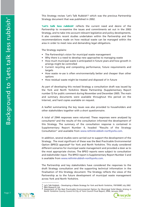This Strategy revises 'Let's Talk Rubbish' <sup>2</sup> which was the previous Partnership Strategy document that was published in 2002.

'Let's talk less rubbish' reflects the current need and desire of the Partnership to re-examine the issues and commitments set out in the 2002 Strategy, and to take into account relevant legislative and policy developments. It also considers recent studies undertaken within the Partnership and the recommendations made on how residual waste can be managed within the area in order to meet new and demanding legal obligations.

The Strategy explains:

- The Partnership's vision for municipal waste management
- Why there is a need to develop new approaches to managing waste
- How much municipal waste is anticipated in future years and how growth in arisings might be controlled
- Current recycling and composting performance, future requirements and targets
- How waste re-use is often environmentally better and cheaper than other options
- How residual waste might be treated and disposed of in future

As part of developing this revised Strategy a consultation draft was issued by the York and North Yorkshire Waste Partnership (Supplementary Report number 5) for public comment during November and December 2005. The main and summary documents were available throughout this period on the Internet, and hard copies available on request.

A leaflet summarising the key issues was also provided to householders and other stakeholders together with a short questionnaire.

- <sup>2</sup> Let's Talk Rubbish Developing a Waste Strategy for York and North Yorkshire, YNYWMP, July 2002<br><sup>3</sup> RBA Research Ltd.<br><sup>4</sup> Assessment of the Best Practicable Environmental Option for Municipal Solid Waste Arising in
- 
- North Yorkshire County Council & City of York Council Final Report, ERM, January 2005





A total of 2944 responses were returned. These responses were analysed by consultants 3 and the results of the consultation informed the development of this Strategy. The summary of the consultation response is contained in Supplementary Report Number 4, headed "Results of the Strategy Consultation" and available from www.rethinkrubbish-northyorks.com .

In addition, several studies were carried out to support the development of the Strategy. The most significant of these was the Best Practicable Environmental Option (BPEO) appraisal 4 for York and North Yorkshire. This study considered different scenarios for municipal waste management and provided a steer as to the most appropriate choices. The BPEO reports were subject to consultation and stakeholder input. The BPEO report is Supplementary Report Number 3 and

is available from www.rethinkrubbish-northyorks.com .

The Partnership and key stakeholders have considered the responses to the draft Strategy consultation and the supporting technical information in the finalisation of this Strategy document. The Strategy reflects the views of the Partnership as to the future development of municipal waste management across York and North Yorkshire.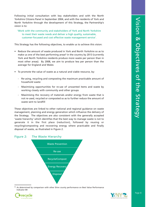Following initial consultation with key stakeholders and with the North Yorkshire Citizens Panel in September 2004, and with the residents of York and North Yorkshire through the development of this Strategy, the Partnership's vision is to:

'Work with the community and stakeholders of York and North Yorkshire to meet their waste needs and deliver a high quality, sustainable, customer-focussed and cost effective waste management service'.

This Strategy has the following objectives, to enable us to achieve this vision:

- Reduce the amount of waste produced in York and North Yorkshire so as to make us one of the best performing areas<sup>5</sup> in the country by 2013 (currently York and North Yorkshire residents produce more waste per person than in most other areas). By 2008, we aim to produce less per person than the average for England and Wales
- To promote the value of waste as a natural and viable resource, by:
	- Re-using, recycling and composting the maximum practicable amount of household waste
	- Maximising opportunities for re-use of unwanted items and waste by working closely with community and other groups
	- Maximising the recovery of materials and/or energy from waste that is not re-used, recycled or composted so as to further reduce the amount of waste sent to landfill

<sup>5</sup> As determined by comparison with other Shire county performance on Best Value Performance Indicator 84





These objectives are linked to other national and regional guidance on waste management, planning and energy generation which influence the delivery of the Strategy. The objectives are also consistent with the generally accepted 'waste hierarchy' which identifies that the best way to manage waste is not to generate it in the first place (reduction), followed by reusing or recycling/composting and recovering energy where practicable and finally disposal of waste, as illustrated in Figure 2.

#### Figure 2: The Waste Hierarchy





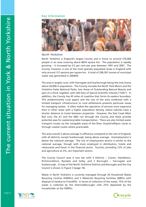#### Key Information



#### *North Yorkshire*

North Yorkshire is England's largest County and is home to around 576,000 people in an area covering about 8654 square km. The population is rapidly growing – it increased by 0.5 per cent per year between 1991 and 2001. The County, however, is one of the most sparsely populated areas in England with only around 121 persons per square km. A total of 396,391 tonnes of municipal waste was generated in 2004/05.

The area is largely rural, with Harrogate and Scarborough being the only towns above 20,000 in population. The County includes the North York Moors and the Yorkshire Dales National Parks; two Areas of Outstanding Natural Beauty and part of a third; together with 244 Sites of Special Scientific Interest ("SSSI"). In addition, the County has 45 miles of coastline that forms its eastern boundary. This predominantly rural aspect and the size of the area combined with a limited transport infrastructure to rural settlements presents particular issues for managing wastes. It often makes the operation of services more expensive than in other areas with a higher population density, where vehicles have a shorter distance to travel between properties. However, the East Coast Main Rail Line, the A1 and the M62 run through the County and these provide potential axes for waste/recyclable transportation. There are also limited water transport routes via the navigable areas of the River Ouse/Ure/Ripon Canal or through coastal routes where practicable.

The area overall is above average in affluence compared to the rest of England, with all districts, except Scarborough, being above average. Unemployment is below the national average. The mix of employment sectors is similar to the national average, though with more employed in distribution, hotels and restaurants and fewer in the financial sector. Tourism, providing 12% of jobs and agriculture at 3%, are important sectors.

The County Council area is two tier with 5 Districts – Craven, Hambleton, Richmondshire, Ryedale and Selby, and 2 Boroughs – Harrogate and Scarborough. A map of the North Yorkshire Districts and Boroughs and the City Council is shown in Figure 3 (page 10).

Waste in North Yorkshire is currently managed through 20 Household Waste Recycling Centres (HWRCs) and 2 Materials Recycling Facilities (MRFs) with disposal of residue to 9 landfills. In terms of collection of the waste, 75% of the waste is collected by the Districts/Boroughs with 25% deposited by the householder at the HWRCs.





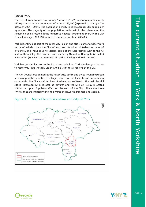#### *City of York*

The City of York Council is a Unitary Authority ("UA") covering approximately 272 square km with a population of around 185,000 (expected to rise by 4.2% between 2001 – 2011). The population density in York averages 680 people per square km. The majority of the population resides within the urban area, the remaining being located in the numerous villages surrounding the City. The City Council managed 123,510 tonnes of municipal waste in 2004/05.

York is identified as part of the Leeds City Region and also is part of a wider 'York sub area' which covers the City of York and its wider hinterland or 'area of influence'. This includes up to Malton, some of the East Ridings, west to the A1 and south to Selby. The nearest towns are Selby (14 miles), Harrogate (21 miles) and Malton (19 miles) and the cities of Leeds (24 miles) and Hull (37miles).

York has good rail access on the East Coast main line. York also has good access to motorway links (notably via the A64 & A19) to all regions of the UK.

The City Council area comprises the historic city centre and the surrounding urban area along with a number of villages, semi-rural settlements and surrounding countryside. The City is divided into 29 administrative Wards. The main landfill site is Harewood Whin, located at Rufforth and the MRF at Hessay is located within the Upper Poppleton Ward on the west of the City. There are three HWRCs that are situated within the wards of Heworth, Strensall and Acomb.

#### Figure 3: Map of North Yorkshire and City of York



| PILE NU LABRI PARLIPIE DARI INGLY<br>발표 아이에서 아버지에 이번 전에 위에 이 의료를 위대하고 감각                          |  |
|---------------------------------------------------------------------------------------------------|--|
| I North Yorkshire County Council Boundary                                                         |  |
| Waste Collection Authorities Boundaries<br>건강 남편 사람은 아이들은 아이들을 통해 보았다. 이 사람들은 아이들은 아이들은 아이들이 있었다. |  |





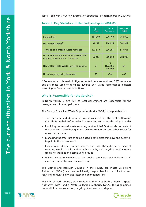Table 1 below sets out key information about the Partnership area in 2004/05:

# Population and household figures quoted here are mid year 2003 estimates but are those used to calculate 2004/05 Best Value Performance Indictors according to Government definitions

#### Who is Responsible for the Service?

In North Yorkshire, two tiers of local government are responsible for the management of municipal waste.

The County Council, as Waste Disposal Authority (WDA), is responsible for:

- The recycling and disposal of waste collected by the District/Borough Councils from their refuse collection, recycling and street cleansing activities
- Providing household waste recycling centres (HWRC) at which residents of the County can take their garden waste for composting and other wastes for re-use or recycling
- Managing the aftercare of some closed landfill sites that have the potential to pollute the environment
- Encouraging others to recycle and re-use waste through the payment of recycling credits to District/Borough Councils, and recycling and/or re-use credits to charities and community groups

|                                                                                 | City of<br><b>York</b> | <b>North</b><br>Yorkshire         | Combined<br><b>Total</b> |
|---------------------------------------------------------------------------------|------------------------|-----------------------------------|--------------------------|
| Population <sup>#</sup>                                                         | 184,200                | 576,100                           | 760,860                  |
| No. of Households <sup>#</sup>                                                  | 81,217                 | 260,695                           | 341,912                  |
| Tonnage of municipal waste managed                                              | 123,510                | 396,391                           | 519,901                  |
| No. of Households with kerbside collection<br>of green waste and/or recyclables | 69,018                 | 209,060                           | 280,900                  |
| No. of Household Waste Recycling Centres                                        | 3                      | 21<br><b>NB. 20 in</b><br>2005/06 | 24                       |
| No. of recycling bring bank sites                                               | 60                     | 430                               | 490                      |

Table 1: Key Statistics of the Partnership in 2004/05

• Giving advice to members of the public, commerce and industry in all matters relating to waste management

The District and Borough Councils in the county are Waste Collections Authorities (WCA's), and are individually responsible for the collection and recycling of municipal waste, litter and abandoned cars.

The City of York Council, as a Unitary Authority, is both a Waste Disposal Authority (WDA) and a Waste Collection Authority (WCA). It has combined responsibilities for collection, recycling, treatment and disposal.



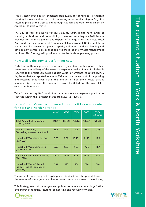This Strategy provides an enhanced framework for continued Partnership working between authorities whilst allowing more local strategies (e.g. the recycling plans of the District and Borough Councils and other complementary strategies) to exist within it.

The City of York and North Yorkshire County Councils also have duties as planning authorities, and responsibility to ensure that adequate facilities are provided for the management and disposal of a range of wastes. Waste Local Plans and the emerging Local Development Frameworks (LDFs) establish an overall need for waste management capacity and set out land use planning and development control policies that apply to the location of waste management facilities. This Strategy will provide input to the land-use planning process.

#### How well is the Service performing now?

Each local authority produces data on a regular basis with regard to their performance in delivery of the waste management service. Some of this data is reported to the Audit Commission as Best Value Performance Indicators (BVPIs). Key issues that are reported as annual BVPIs include the amount of composting and recycling that takes place, the amount of household waste that is generated (per person), the amount of waste landfilled and the cost of the service per household.

Table 2 sets out key BVPIs and other data on waste management practice, as reported within the Partnership area from 2001/2 – 2005/6.

### Table 2: Best Value Performance Indicators & key waste data for York and North Yorkshire

The rates of composting and recycling have doubled over this period, however the amount of waste generated has increased but now appears to be reducing.

This Strategy sets out the targets and policies to reduce waste arisings further and improve the reuse, recycling, composting and recovery of waste.





|                                                                              | 01/02   | 02/03   | 03/04   | 04/05   | 05/06<br>estimates |
|------------------------------------------------------------------------------|---------|---------|---------|---------|--------------------|
| <b>Total Amount of Household</b><br><b>Waste (Tonnes)</b>                    | 424,397 | 426,691 | 426,058 | 436,581 | 428,766            |
| Rate of Growth (%)<br>(3yr rolling average trend/head)                       | N/A     | N/A     | 1.6     | 0.67    | $-0.45$            |
| Household Waste Recycled (%)<br><b>(BVPI 82A)</b>                            | 6.68    | 8.08    | 10.48   | 11.75   | 17.8               |
| <b>Household Waste Composted</b><br>$(\%)(BVPI 82B)$                         | 3.99    | 5.57    | 6.73    | 9.26    | 11.7               |
| Household Waste to Landfill (%)<br>(BVPI 82D)                                | 89.33   | 86.35   | 82.80   | 78.99   | 69.7               |
| <b>Household Waste Collected</b><br>(kg per Head of Population)<br>(BVPI 84) | 563     | 568     | 564     | 574     | 560                |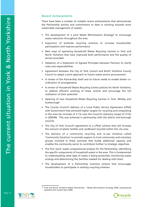### Recent Achievements

There have been a number of notable recent achievements that demonstrate the Partnership activity and commitment to date in working towards more sustainable management of wastes:

- The development of a joint Waste Minimisation Strategy<sup>6</sup> to encourage waste reduction throughout the area
- Expansion of kerbside recycling schemes to increase householder participation and improve performance
- New ways of operating Household Waste Recycling Centres in York and North Yorkshire that have improved both performance and the quality of service provided
- Adoption of a Statement of Agreed Principles between Partners to clarify roles and responsibilities
- Agreement between the City of York Council and North Yorkshire County Council to adopt a joint approach to future waste service procurement
- A review of the Partnership itself and its future needs to enable better coordination of arrangements
- A review of Household Waste Recycling Centre policies for North Yorkshire, to address efficient working of these centres and encourage the full realisation of their potential
- Opening of new Household Waste Recycling Centres in York, Whitby and Scarborough
- The County Council's delivery of a Local Public Service Agreement (LPSA) with Government that achieved higher targets for recycling and composting in the area (an increase of 2.1% over the Council's statutory target of 21%) in 2005/06. This was achieved in partnership with the district and borough councils.
- The City of York Council's agreement to a LPSA2 scheme that will increase the amount of plastic bottles and cardboard recycled within the city area
- The delivery of a community recycling and re-use initiative called 'Community Solutions' to provide support to local community and voluntary groups involved in these activities that builds additional capacity and enables the community sector to contribute further to strategic objectives
- The first 'joint' waste compositional analysis for the Partnership, identifying the specific components of household waste in the area. This is fundamental to understanding what type of waste is being presented, monitoring waste arisings and determining the facilities needed for dealing with them

• The development of a Partnership incentive scheme that encourages householders to participate in existing recycling schemes







<sup>6</sup> York and North Yorkshire Waste Partnership - Waste Minimisation Strategy 2004, subsequently updated and revised April 2006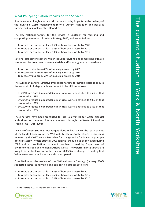#### What Policy/Legislation impacts on the Service?

A wide variety of legislation and Government policy impacts on the delivery of the municipal waste management service. Current legislation and policy is summarised in Supplementary Report 6.

The key National targets for the service in England <sup>7</sup> for recycling and composting, are set out in Waste Strategy 2000, and are as follows:

- To recycle or compost at least 25% of household waste by 2005
- To recycle or compost at least 30% of household waste by 2010
- To recycle or compost at least 33% of household waste by 2015

National targets for recovery (which includes recycling and composting but also wastes sent for treatment where materials and/or energy are recovered) are:

- To recover value from 40% of municipal waste by 2005
- To recover value from 45% of municipal waste by 2010
- To recover value from 67% of municipal waste by 2015

The European Landfill Directive introduced targets for Nation states to reduce the amount of biodegradable waste sent to landfill, as follows:

- By 2010 to reduce biodegradable municipal waste landfilled to 75% of that produced in 1995
- By 2013 to reduce biodegradable municipal waste landfilled to 50% of that produced in 1995
- By 2020 to reduce biodegradable municipal waste landfilled to 35% of that produced in 1995

These targets have been translated to local allowances for waste disposal authorities, for these and intermediate years through the Waste & Emissions Trading (WET) Act (2003).

Delivery of Waste Strategy 2000 targets alone will not deliver the requirements of the Landfill Directive or the WET Act. Meeting Landfill Directive targets as required by the WET Act is a key driver for change and a fundamental principle of this Strategy. Waste Strategy 2000 itself is scheduled to be reviewed during 2006 and a consultation document has been issued by Department of Environment, Food and Regional Affairs (Defra). New performance targets are likely to be set for local authorities beyond 2005/06 and changes to existing Best Value Performance Indicators are also anticipated.

Consultation on the review of the National Waste Strategy (January 2006) suggested increased recycling and composting targets as follows:

- To recycle or compost at least 40% of household waste by 2010
- To recycle or compost at least 45% of household waste by 2015
- To recycle or compost at least 50% of household waste by 2020

Page 14

7 Waste Strategy 2000 for England and Wales Cm 4693-2



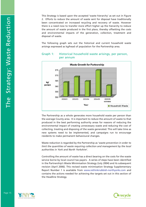This Strategy is based upon the accepted 'waste hierarchy' as set out in Figure 2. Efforts to reduce the amount of waste sent for disposal have traditionally been concentrated on increased recycling and recovery of waste. However there is a need now to transfer more effort higher up the hierarchy to reduce the amount of waste produced in the first place, thereby offsetting the costs and environmental impacts of the generation, collection, treatment and disposal of waste.

The following graph sets out the historical and current household waste arisings expressed as kg/head of population for the Partnership area.



### Graph 1: Historical household waste arisings, per person, per annum

The Partnership as a whole generates more household waste per person than the average County area. It is important to reduce the amount of waste to that produced in the best performing authority areas for reasons of reducing the environmental impact of creating unnecessary waste and reducing the cost of collecting, treating and disposing of the waste generated. This will take time as new systems need to be implemented, and campaigns run to encourage residents to make permanent behavioural changes.

Waste reduction is regarded by the Partnership as '*waste prevention in order to limit the quantities of waste requiring collection and management by the local authorities in York and North Yorkshire*'.

Controlling the amount of waste has a direct bearing on the costs for the waste service borne by local council tax payers. A series of steps have been identified in the Partnership's Waste Minimisation Strategy (July 2004) and its subsequent revision (April 2006). This revised waste minimisation Strategy Supplementary Report Number 1 is available from www.rethinkrubbish-northyorks.com and contains the actions needed for achieving the targets set out in this section of the Headline Strategy.





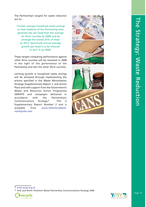The Partnership's targets for waste reduction are to:

'Contain average household waste arisings so that residents of the Partnership area generate less per head than the average for Shire counties by 2008, and be amongst the lowest 25% of these by 2013. Specifically annual average growth per head is to be reduced to zero % by 2008'.

These targets comparing performance against other Shire counties will be reviewed in 2008 in the light of the performance of the Partnership and also the other Shire counties.

Limiting growth in household waste arisings will be achieved through implementing the actions specified in the Waste Minimisation Strategy (Supplementary Report 1, and Action Plan) and with support from the Government's Waste and Resources Action Programme (WRAP8) and campaigns delivered in accordance with the Partnership's Communications Strategy.9 This is Supplementary Report Number 2 and is available from www.rethinkrubbishnorthyorks.com.









Page 16

8 www.wrap.org.uk

9 York and North Yorkshire Waste Partnership Communications Strategy 2006



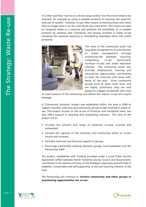It is often said that "we live in a throw away society" but this trend needs to be reversed, for example by using re-useable products to minimise the need for, and cost of landfill. However, re-use often means connecting those with items they no longer have a use for, with those who want them. This means we need to recognise waste as a resource and publicise the availability of re-useable products by working with individuals and groups involved in waste re-use initiatives (for example repairing or refurbishing redundant items into useful products).



The work of the community sector has long been recognised for its contribution to waste management through community-led kerbside recycling, composting, re-use (particularly furniture re-use) and waste education schemes. The community sector also provides employment, training and educational opportunities contributing to both the economy and social wellbeing of the area. Since community groups work at 'grass roots' level, and are highly committed, they are well placed to engage successfully with hard

to reach sections of the community and deliver the reduce, re-use and recycle message.

The Partnership will continue to 'involve community and other groups in maximising opportunities for re-use'.

A 'Community Solutions' project was established within the area in 2004 to support charities, voluntary and community groups to get involved in waste reuse. This project focuses on the re-use of furniture and household items, but also offers support in recycling and composting activities. The aims of the project are to:

- Increase the amount and range of materials re-used, recycled and composted;
- Increase the capacity of the voluntary and community sector to re-use, recycle and compost;
- Facilitate technical and financial support to groups;
- Encourage partnership working between groups, local businesses and the Partnership itself

The project, established with funding provided under a Local Public Service Agreement (LPSA) between North Yorkshire County Council and Government, contributes to the delivery of many of this Strategy's objectives and will help to establish a sustainable and self-supporting re-use and recycling network in the area.





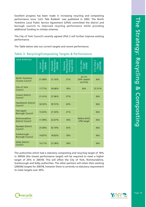Excellent progress has been made in increasing recycling and composting performance since 'Let's Talk Rubbish' was published in 2002. The North Yorkshire Local Public Service Agreement (LPSA) committed the district and borough councils to improved recycling performance whilst providing additional funding to initiate schemes.

The City of York Council's recently agreed LPSA 2 will further improve existing performance.

The Table below sets out current targets and recent performance.





#### Table 3: Recycling/Composting Targets & Performance

The authorities which had a statutory composting and recycling target of 18% in 2005/6 (the lowest performance target) will be required to meet a higher target of 20% in 2007/8. This will affect the City of York, Richmondshire, Scarborough and Selby authorities. The other partners will retain their existing (2005/6) targets for 2007/8, however there is currently no statutory requirement to meet targets over 30%.



| <b>Local Authority</b>                          | rformance<br>2004/05<br><u>Ctual</u> | Performance<br>2005/06<br>Estimated | Composting<br>Target 05/06<br><b>Recycling</b> a<br>Statuton | 2541<br>Target<br>(05/06)                | PSA <sub>2</sub><br>arget<br>007/08) |
|-------------------------------------------------|--------------------------------------|-------------------------------------|--------------------------------------------------------------|------------------------------------------|--------------------------------------|
| <b>North Yorkshire</b><br><b>County Council</b> | 21.98%                               | 31.16%                              | 21%                                                          | 23.1%<br>(10% 'stretch'<br>on 21%)       | N/A                                  |
| <b>City of York</b><br>Council                  | 17.77%                               | 24.08%                              | 18%                                                          | N/A                                      | 37.51%                               |
| <b>Craven District</b><br>Council               | 21.41%                               | 27.06%                              | 27%                                                          |                                          | N/A                                  |
| <b>Hambleton District</b><br>Council            | 34.52%                               | 39.72%                              | 24%                                                          |                                          | N/A                                  |
| Harrogate<br><b>Borough Council</b>             | 15.63%                               | 21.54%                              | 21%                                                          |                                          | N/A                                  |
| Richmondshire<br><b>District Council</b>        | 11.99%                               | 22.67%                              | 18%                                                          | <b>Within NYCC</b><br><b>LPSA target</b> | N/A                                  |
| <b>Ryedale District</b><br>Council              | 25.40%                               | 42.70%                              | 33%                                                          |                                          | N/A                                  |
| Scarborough<br><b>Borough Council</b>           | 14.87%                               | 18.83%                              | 18%                                                          |                                          | N/A                                  |
| <b>Selby District</b><br>Council                | 14.71%                               | 27.38%                              | 18%                                                          |                                          | N/A                                  |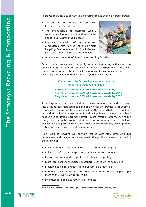Improved recycling and composting performance has been delivered through:

- The introduction of new or enhanced kerbside collection schemes
- The introduction of alternate weekly collections of green waste and recyclables and residual wastes in some areas
- Improved separation of recyclable and compostable materials at Household Waste Recycling Centres as a result of facilities and new contractual and on-site arrangements



• An enhanced network of 'bring' bank recycling facilities

These targets have been amended since the consultation draft and have taken into account more detailed modelling of the costs and practicality of potential recycling levels using waste composition data. The targets that were considered in the draft revised Strategy can be found in Supplementary Report number 5 headed "Consultation Document: Draft Revised Waste Strategy". Key to this change was the public concern that cost was an important issue to balance against levels of performance. The targets are also consistent, although more ambitious than the current national proposals<sup>10</sup>.

Recent studies have shown that a higher level of recycling is the most cost effective long term solution to delivering the Partnership's obligations. High levels of recycling are also essential for reasons of environmental protection, delivering sustainable solutions and satisfying public expectation.

> Consequently the Partnership aims to achieve the following targets, as a minimum:

- Recycle or compost 40% of household waste by 2010
- Recycle or compost 45% of household waste by 2013
- Recycle or compost 50% of household waste by 2020

High levels of recycling will only be realised with high levels of public involvement and changes to the way we do things. It will mean some or all of the following:

- Provision of more information on how to recycle and compost
- Collections of a wider range of recyclable waste from households
- Provision of subsidised compost bins for home composting

- More local banks for recyclable materials closer to where people live
- Providing banks for a greater range of recyclable materials
- Designing collection systems and frequencies to encourage people to put more of their waste out for recycling
- Incentives for people to recycle and compost

<sup>&</sup>lt;sup>10</sup> Review of England's Waste Strategy – A consultation document, February 2006



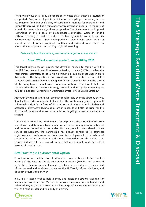There will always be a residual proportion of waste that cannot be recycled or composted. Even with full public participation in recycling, composting and reuse schemes (and the availability of sustainable markets for recyclables and compost) there will still be a remainder for treatment or disposal. In the case of household waste, this is a significant proportion. The Government has imposed restrictions on the disposal of biodegradable municipal waste in landfill without treating it first to reduce its biodegradable content and its environmental burden. When biodegradable waste breaks down within a landfill site it will form a gas (mostly methane and carbon dioxide) which can leak to the atmosphere contributing to global warming.

#### Partnership Members have agreed to set a target to, as a minimum:

#### • Divert 75% of municipal waste from landfill by 2013

This target relates to, yet exceeds the diversion needed to comply with the Landfill Directive and Landfill Allowance Trading Scheme (LATS) to reflect the Partnerships aspiration to be a high achieving group amongst English Shire Authorities. This target has been revised since the consultation draft of the Strategy based on detailed modelling and to keep some flexibility in the choice of the long term residual waste treatment option. The target that was considered in the draft revised Strategy can be found in Supplementary Report number 5 headed "Consultation Document: Draft Revised Waste Strategy".

Although the use of landfill will diminish considerably over the Strategy period, it will still provide an important element of the waste management system. It will remain a significant form of disposal for residual waste until suitable and acceptable alternative technologies are in place. It will also be used for the disposal of materials that are unsuitable for recycling or re-use or cannot be treated.

The eventual treatment arrangements to help divert the residual waste from landfill will be determined by a number of factors, including deliverability, cost and responses to invitations to tender. However, as a first step ahead of new service procurement, the Partnership has already considered its strategic objectives and preferences for treatment technologies with the advice of consultants and in consultation with other stakeholders and the public. This ensures bidders will put forward options that are desirable and that reflect Partnership aspirations.

#### Best Practicable Environmental Option

Consideration of residual waste treatment choices has been informed by the analysis of the best practicable environmental option (BPEO). This has regard not only to the environmental impacts of a technology, but also to the context of the proposal and local views. However, the BPEO only informs decisions, and does not provide 'the answer'.

BPEO is a strategic tool to help identify and assess the options available for managing a waste stream. Various scenarios are assessed in a systematic and balanced way taking into account a wide range of environmental criteria, as well as financial costs and reliability of delivery.



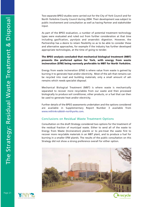Two separate BPEO studies were carried out for the City of York Council and for North Yorkshire County Council during 2004. Their development was subject to public involvement and consultation as well as having Partner and stakeholder input.

As part of the BPEO evaluation, a number of potential treatment technology types were evaluated and ruled out from further consideration at that time including gasification, pyrolysis and anaerobic digestion. However, the Partnership has a desire to retain flexibility so as to be able to consider these and alternative approaches, for example if the industry has further developed appropriate technologies, at the time of going to tender.

#### The BPEO analysis concluded that mechanical biological treatment (MBT) presents the preferred option for York, with energy from waste incineration (EfW) being narrowly preferable to MBT for North Yorkshire.

Energy from waste incineration (EfW) is where value from waste is gained by burning it to generate heat and/or electricity. Most of the ash that remains can be recycled into road and building materials; only a small amount of ash remains which needs specialist disposal.

Mechanical Biological Treatment (MBT) is where waste is mechanically separated to recover more recyclables from our waste and then processed biologically to produce soil conditioner, other products, or a fuel that can then be used to generate heat and/or electricity.

Further details of the BPEO assessments undertaken and the options considered are available in Supplementary Report Number 3 available from www.rethinkrubbish-northyorks.com .

#### Conclusions on Residual Waste Treatment Options

Consultation on the draft Strategy considered two options for the treatment of the residual fraction of municipal waste. Either to send all of the waste to Energy from Waste (Incineration) plant/s or to pre-treat the waste first to recover more recyclable materials in an MBT plant, and to produce a fuel for burning in a smaller EfW plant/s. The results of the public consultation on this Strategy did not show a strong preference overall for either option.





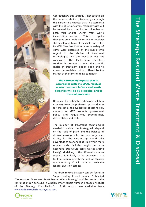Consequently, this Strategy is not specific on the preferred choice of technology although the Partnership expects that in accordance with the BPEO outcomes, residual waste will be treated by a combination of either or both MBT and/or Energy from Waste incineration processes. This is a rapidly changing area, with policy and technology still developing to meet the challenge of the Landfill Directive. Furthermore, a variety of views were expressed by the public with regard to the choice of treatment technologies and the feedback was not conclusive. The Partnership therefore consider it prudent to keep the specific choice of treatment option open and to assess the available options offered by the market at the time of going to tender.

The Partnership expects that in accordance with the BPEO, residual waste treatment in York and North Yorkshire will be by biological and/or thermal processes.



However, the ultimate technology solution may vary from the preferred options due to factors such as the availability of technology, markets for MBT products, government policy and regulations, practicalities, deliverability and cost.

The number of treatment technologies needed to deliver the Strategy will depend on the scale of plant and the balance of decision making factors (i.e. one large scale facility for the Partnership would take advantage of economies of scale whilst more smaller scale facilities might be more expensive but would serve wastes arising locally). Modelling of the different scenarios suggests it is likely to be between  $1 - 3$ facilities required, with the bulk of capacity operational by 2013 in order to reach the landfill diversion targets.



The draft revised Strategy can be found in Supplementary Report number 5 headed

"Consultation Document: Draft Revised Waste Strategy" and the results of the consultation can be found in Supplementary Report number 4 headed "Results of the Strategy Consultation". Both reports are available from www.rethinkrubbish-northyorks.com .



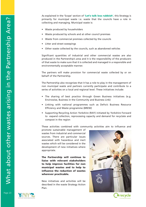As explained in the 'Scope' section of **'Let's talk less rubbish'**, this Strategy is primarily for municipal waste i.e. waste that the councils have a role in collecting and managing. Municipal waste is:

- Waste produced by householders
- Waste produced by schools and at other council premises
- Waste from commercial premises collected by the councils
- Litter and street sweepings
- Other waste collected by the councils, such as abandoned vehicles

Significant quantities of industrial and other commercial wastes are also produced in the Partnership's area and it is the responsibility of the producers of that waste to make sure that it is collected and managed in a responsible and environmentally acceptable manner.

The partners will make provision for commercial waste collected by or on behalf of the Partnership.

The Partnership also recognises that it has a role to play in the management of non municipal waste and partners currently participate and contribute to a series of activities on a local and regional level. These initiatives include:

- The sharing of best practice through Green Business initiatives (e.g. Envirowise, Business in the Community and Business Link)
- Linking with national programmes such as Defra's Business Resource Efficiency and Waste programme (BREW)
- Supporting Recycling Action Yorkshire (RAY) initiated by Yorkshire Forward to expand collection, reprocessing capacity and demand for recyclate and compost in the region

These activities combined with community activities aim to influence and

promote sustainable management of wastes from industrial and commercial sources. There are particular issues associated with hazardous and inert wastes which will be considered in the development of new initiatives where appropriate.





The Partnership will continue to liaise with relevant stakeholders to help improve facilities for non municipal wastes and to help to influence the reduction of wastes wherever practicable.

New initiatives and activities will be described in the waste Strategy Action Plan.





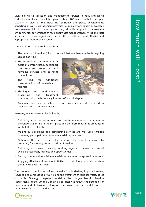Municipal waste collection and management services in York and North Yorkshire cost local council tax payers about £85 per household per year (2004/5). In view of the increasing legislative and policy developments impacting on waste management activities (Supplementary Report 6, available from www.rethinkrubbish-northyorks.com), primarily designed to improve the environmental performance of municipal waste management services, the costs are expected to rise significantly despite the overall most cost-effective and appropriate solution being sought.

- The provision of services (bins, boxes, vehicles) to enhance kerbside recycling and composting
- The construction and operation of additional infrastructure to support the enhanced collection and recycling services and to treat residual wastes
- The need for additional transportation of materials to facilities
- The higher costs of residual waste processing and treatment compared with the historically low cost of landfill disposal

These additional costs could arise from:



However, any increase can be limited by:

- Delivering effective educational and waste minimisation initiatives to prevent waste arising in the first place and therefore reduce the amounts of waste left to deal with
- Making sure recycling and composting services are well used through increasing participation levels and material capture rates
- Obtaining the most cost-effective solutions for council-tax payers by tendering for the long-term provision of services
- Delivering economies of scale by working together to make best use of available resources, facilities and opportunities
- 



- Bulking waste and recyclable materials to minimise transportation impacts
- Applying effective enforcement initiatives to control inappropriate inputs to the municipal waste stream

The proposed combination of waste reduction initiatives, improved re-use, recycling and composting of waste, and the treatment of residual waste, as set out in this Strategy is expected to deliver the stringent landfill diversion requirements of the Landfill Directive. Specifically to reduce the potential for exceeding landfill allowance allocations, particularly for the Landfill Directive target years (2010, 2013 and 2020).



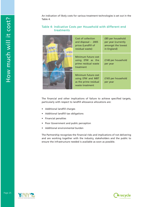An indication of likely costs for various treatment technologies is set out in the Table 4.

#### Table 4: Indicative Costs per Household with different end treatments

The financial and other implications of failure to achieve specified targets, particularly with respect to landfill allowance allocations are:

- Additional landfill charges
- Additional landfill tax obligations
- Financial penalties
- Poor Government and public perception
- Additional environmental burden

The Partnership recognises the financial risks and implications of not delivering and are working together with the industry, stakeholders and the public to ensure the infrastructure needed is available as soon as possible.







| Cost of collection<br>and disposal $-2005$<br>prices (Landfill of<br>residual waste) | £85 per household<br>per year (currently<br>amongst the lowest<br>in England) |
|--------------------------------------------------------------------------------------|-------------------------------------------------------------------------------|
| Minimum future cost<br>using EfW as the<br>prime residual waste<br>treatment         | £140 per household<br>per year                                                |
| Minimum future cost<br>using EfW and MBT<br>as the prime residual<br>waste treatment | £165 per household<br>per year                                                |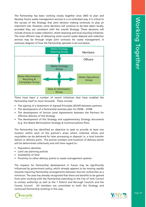The Partnership has been working closely together since 2003 to plan and develop future waste management services in a co-ordinated way. It is critical to the success of the Strategy that joint decision making continues to play an important role. However, some decisions will continue to be best taken locally, provided they are consistent with the overall Strategy. These decisions will include choices on waste collection, street cleansing and local recycling initiatives. The most efficient way of delivering some council waste disposal and collection services may be through single joint contracts for waste management. A summary diagram of how the Partnership operates is set out below.

There have been a number of recent initiatives that have enabled the Partnership itself to move forwards. These include:

- The signing of a Statement of Agreed Principles (SOAP) between partners
- The development of a Partnership business plan for 05/06 07/08
- The development of Service Level Agreements between the Partners for effective delivery of the Strategy
- The development of this Strategy and supplementary Strategy documents (e.g. the Waste Minimisation Strategy & Communications Plan)

The Partnership has identified an objective to seek to provide at least one location within each of the partner's areas where collected refuse and recyclables can be delivered for later processing or disposal i.e. a local transfer station or delivery point. The precise numbers and locations of delivery points will be determined collectively and will have regard to:

- Population densities
- Land use planning policies
- Availability of land

• Proximity to other delivery points or waste management systems

The impetus for Partnership development in future may be significantly influenced by government policy, which already appears to be moving rapidly towards requiring Partnership arrangements between two-tier authorities as a minimum. The area has already recognised that there are benefits to be gained from joint working with the Partnership extending to the City of York Council (a unitary authority) as well as the 7 District and Borough Councils and the County Council. All members are committed to both this Strategy and continued Partnership working in this way.





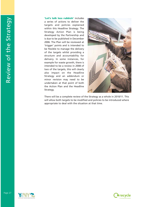'Let's talk less rubbish' includes a series of actions to deliver the targets and policies explained within this Headline Strategy. The Strategy Action Plan is being developed by the Partnership and is due to be published in December 2006. The Plan will be reviewed at 'trigger' points and is intended to be flexible to manage the delivery of the targets whilst providing a structure and accountability for delivery. In some instances, for example for waste growth, there is intended to be a review in 2008 of two of the targets, this will clearly also impact on the Headline Strategy and an addendum or minor revision may need to be undertaken at that point of both the Action Plan and the Headline Strategy.



There will be a complete review of the Strategy as a whole in 2010/11. This will allow both targets to be modified and policies to be introduced where appropriate to deal with the situation at that time.





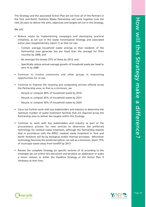This Strategy and the associated Action Plan set out how all of the Partners in the York and North Yorkshire Waste Partnership will work together over the next 20 years to deliver the aims, objectives and targets set out in this Strategy.

#### We will:

- Reduce waste by implementing campaigns and developing practical initiatives, as set out in the waste minimisation Strategy and associated action plan (supplementary report 1) so that we can:
	- Contain average household waste arisings so that residents of the Partnership area generate less per head than the average for Shire counties by 2008, and
	- Be amongst the lowest 25% of these by 2013; and
	- Specifically reduce annual average growth of household waste per head to zero % by 2008
- Continue to involve community and other groups in maximising opportunities for re-use.
- Continue to improve the recycling and composting services offered across the Partnership area, so that as a minimum, we
	- Recycle or compost 40% of household waste by 2010
	- Recycle or compost 45% of household waste by 2013
	- Recycle or compost 50% of household waste by 2020
- Carry out further work with key stakeholders and industry to determine the optimum number of waste treatment facilities that are required across the Partnership area to deliver the targets within this Strategy.
- Continue to work with key stakeholders and industry as part of the procurement process for new services to determine the preferred technology for residual waste treatment, although the Partnership expects that in accordance with the BPEO, residual waste treatment in York and North Yorkshire will be by biological and/or thermal processes. Whichever technology becomes the preferred option, we will as a minimum, divert 75% of municipal waste away from landfill by 2013.
- Review the complete Strategy (or specific sections of it) according to the timetable set out within this document and produce an addendum or make

a minor revision to either the Headline Strategy or the Action Plan if necessary at that time.